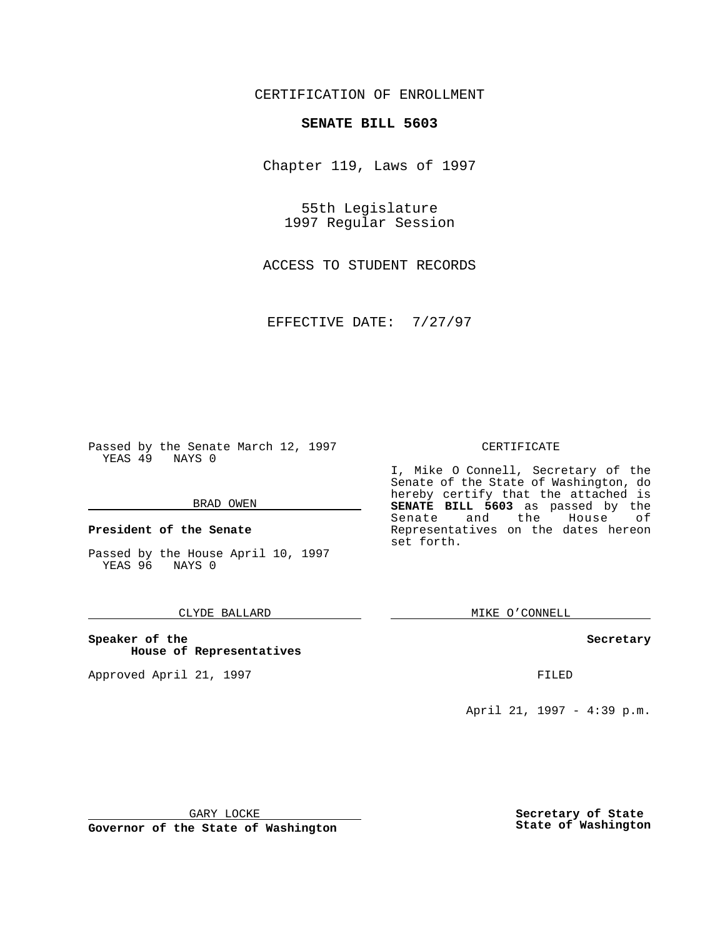CERTIFICATION OF ENROLLMENT

# **SENATE BILL 5603**

Chapter 119, Laws of 1997

55th Legislature 1997 Regular Session

ACCESS TO STUDENT RECORDS

EFFECTIVE DATE: 7/27/97

Passed by the Senate March 12, 1997 YEAS 49 NAYS 0

#### BRAD OWEN

**President of the Senate**

Passed by the House April 10, 1997 YEAS 96 NAYS 0

### CLYDE BALLARD

**Speaker of the House of Representatives**

Approved April 21, 1997 **FILED** 

#### CERTIFICATE

I, Mike O Connell, Secretary of the Senate of the State of Washington, do hereby certify that the attached is **SENATE BILL 5603** as passed by the Senate and the House of Representatives on the dates hereon set forth.

MIKE O'CONNELL

#### **Secretary**

April 21, 1997 - 4:39 p.m.

GARY LOCKE

**Governor of the State of Washington**

**Secretary of State State of Washington**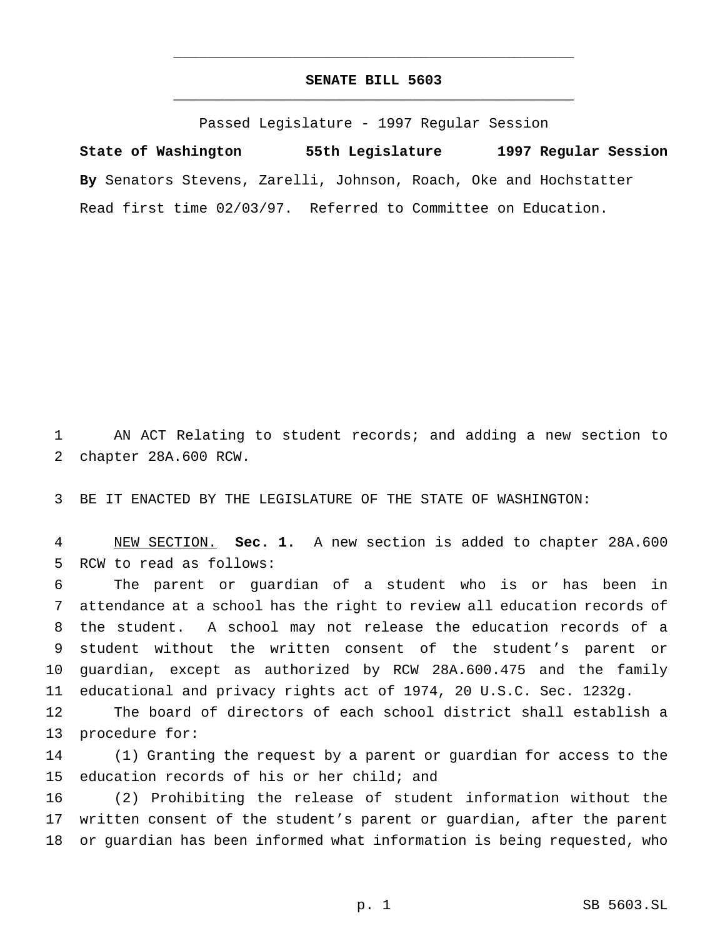## **SENATE BILL 5603** \_\_\_\_\_\_\_\_\_\_\_\_\_\_\_\_\_\_\_\_\_\_\_\_\_\_\_\_\_\_\_\_\_\_\_\_\_\_\_\_\_\_\_\_\_\_\_

\_\_\_\_\_\_\_\_\_\_\_\_\_\_\_\_\_\_\_\_\_\_\_\_\_\_\_\_\_\_\_\_\_\_\_\_\_\_\_\_\_\_\_\_\_\_\_

Passed Legislature - 1997 Regular Session

**State of Washington 55th Legislature 1997 Regular Session By** Senators Stevens, Zarelli, Johnson, Roach, Oke and Hochstatter Read first time 02/03/97. Referred to Committee on Education.

 AN ACT Relating to student records; and adding a new section to chapter 28A.600 RCW.

BE IT ENACTED BY THE LEGISLATURE OF THE STATE OF WASHINGTON:

 NEW SECTION. **Sec. 1.** A new section is added to chapter 28A.600 RCW to read as follows:

 The parent or guardian of a student who is or has been in attendance at a school has the right to review all education records of the student. A school may not release the education records of a student without the written consent of the student's parent or guardian, except as authorized by RCW 28A.600.475 and the family educational and privacy rights act of 1974, 20 U.S.C. Sec. 1232g.

 The board of directors of each school district shall establish a procedure for:

 (1) Granting the request by a parent or guardian for access to the education records of his or her child; and

 (2) Prohibiting the release of student information without the written consent of the student's parent or guardian, after the parent or guardian has been informed what information is being requested, who